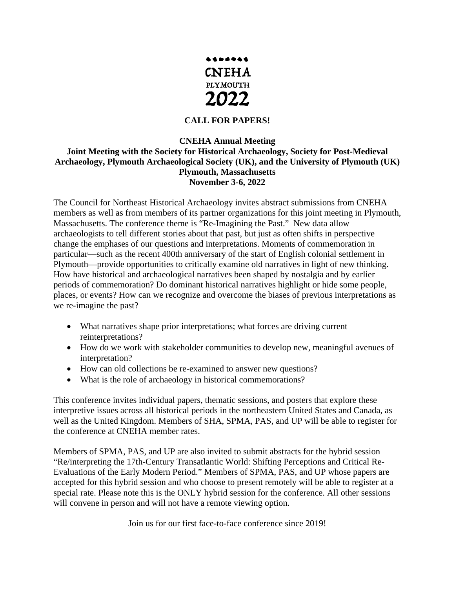

## **CALL FOR PAPERS!**

## **CNEHA Annual Meeting Joint Meeting with the Society for Historical Archaeology, Society for Post-Medieval Archaeology, Plymouth Archaeological Society (UK), and the University of Plymouth (UK) Plymouth, Massachusetts November 3-6, 2022**

The Council for Northeast Historical Archaeology invites abstract submissions from CNEHA members as well as from members of its partner organizations for this joint meeting in Plymouth, Massachusetts. The conference theme is "Re-Imagining the Past." New data allow archaeologists to tell different stories about that past, but just as often shifts in perspective change the emphases of our questions and interpretations. Moments of commemoration in particular—such as the recent 400th anniversary of the start of English colonial settlement in Plymouth—provide opportunities to critically examine old narratives in light of new thinking. How have historical and archaeological narratives been shaped by nostalgia and by earlier periods of commemoration? Do dominant historical narratives highlight or hide some people, places, or events? How can we recognize and overcome the biases of previous interpretations as we re-imagine the past?

- What narratives shape prior interpretations; what forces are driving current reinterpretations?
- How do we work with stakeholder communities to develop new, meaningful avenues of interpretation?
- How can old collections be re-examined to answer new questions?
- What is the role of archaeology in historical commemorations?

This conference invites individual papers, thematic sessions, and posters that explore these interpretive issues across all historical periods in the northeastern United States and Canada, as well as the United Kingdom. Members of SHA, SPMA, PAS, and UP will be able to register for the conference at CNEHA member rates.

Members of SPMA, PAS, and UP are also invited to submit abstracts for the hybrid session "Re/interpreting the 17th-Century Transatlantic World: Shifting Perceptions and Critical Re-Evaluations of the Early Modern Period." Members of SPMA, PAS, and UP whose papers are accepted for this hybrid session and who choose to present remotely will be able to register at a special rate. Please note this is the ONLY hybrid session for the conference. All other sessions will convene in person and will not have a remote viewing option.

Join us for our first face-to-face conference since 2019!